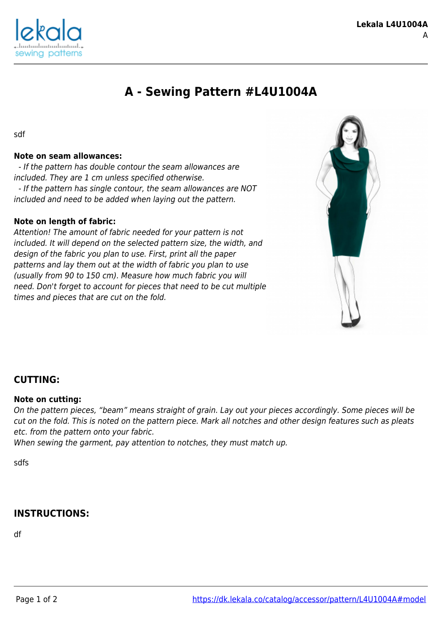

# **A - Sewing Pattern #L4U1004A**

sdf

## **Note on seam allowances:**

 - If the pattern has double contour the seam allowances are included. They are 1 cm unless specified otherwise. - If the pattern has single contour, the seam allowances are NOT included and need to be added when laying out the pattern.

### **Note on length of fabric:**

Attention! The amount of fabric needed for your pattern is not included. It will depend on the selected pattern size, the width, and design of the fabric you plan to use. First, print all the paper patterns and lay them out at the width of fabric you plan to use (usually from 90 to 150 cm). Measure how much fabric you will need. Don't forget to account for pieces that need to be cut multiple times and pieces that are cut on the fold.



## **CUTTING:**

#### **Note on cutting:**

On the pattern pieces, "beam" means straight of grain. Lay out your pieces accordingly. Some pieces will be cut on the fold. This is noted on the pattern piece. Mark all notches and other design features such as pleats etc. from the pattern onto your fabric.

When sewing the garment, pay attention to notches, they must match up.

sdfs

# **INSTRUCTIONS:**

df